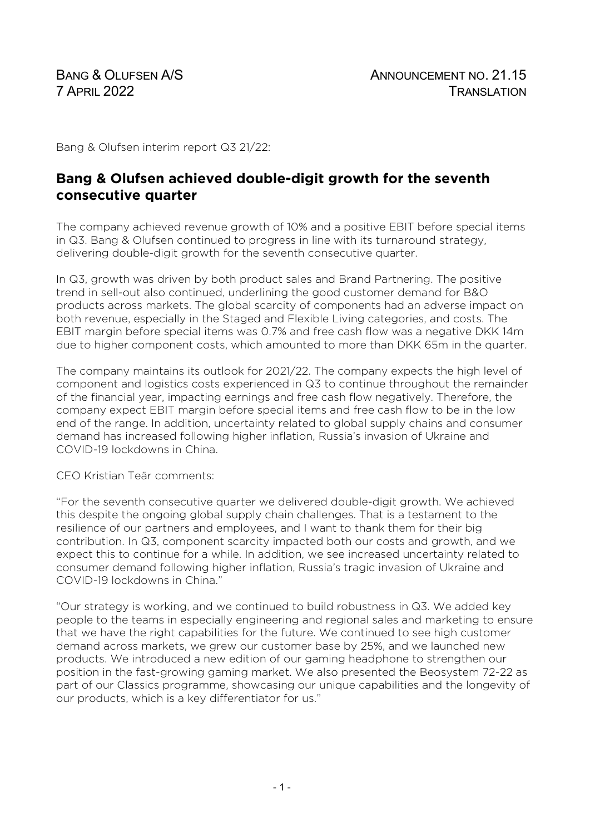Bang & Olufsen interim report Q3 21/22:

# **Bang & Olufsen achieved double-digit growth for the seventh consecutive quarter**

The company achieved revenue growth of 10% and a positive EBIT before special items in Q3. Bang & Olufsen continued to progress in line with its turnaround strategy, delivering double-digit growth for the seventh consecutive quarter.

In Q3, growth was driven by both product sales and Brand Partnering. The positive trend in sell-out also continued, underlining the good customer demand for B&O products across markets. The global scarcity of components had an adverse impact on both revenue, especially in the Staged and Flexible Living categories, and costs. The EBIT margin before special items was 0.7% and free cash flow was a negative DKK 14m due to higher component costs, which amounted to more than DKK 65m in the quarter.

The company maintains its outlook for 2021/22. The company expects the high level of component and logistics costs experienced in Q3 to continue throughout the remainder of the financial year, impacting earnings and free cash flow negatively. Therefore, the company expect EBIT margin before special items and free cash flow to be in the low end of the range. In addition, uncertainty related to global supply chains and consumer demand has increased following higher inflation, Russia's invasion of Ukraine and COVID-19 lockdowns in China.

CEO Kristian Teär comments:

"For the seventh consecutive quarter we delivered double-digit growth. We achieved this despite the ongoing global supply chain challenges. That is a testament to the resilience of our partners and employees, and I want to thank them for their big contribution. In Q3, component scarcity impacted both our costs and growth, and we expect this to continue for a while. In addition, we see increased uncertainty related to consumer demand following higher inflation, Russia's tragic invasion of Ukraine and COVID-19 lockdowns in China."

"Our strategy is working, and we continued to build robustness in Q3. We added key people to the teams in especially engineering and regional sales and marketing to ensure that we have the right capabilities for the future. We continued to see high customer demand across markets, we grew our customer base by 25%, and we launched new products. We introduced a new edition of our gaming headphone to strengthen our position in the fast-growing gaming market. We also presented the Beosystem 72-22 as part of our Classics programme, showcasing our unique capabilities and the longevity of our products, which is a key differentiator for us."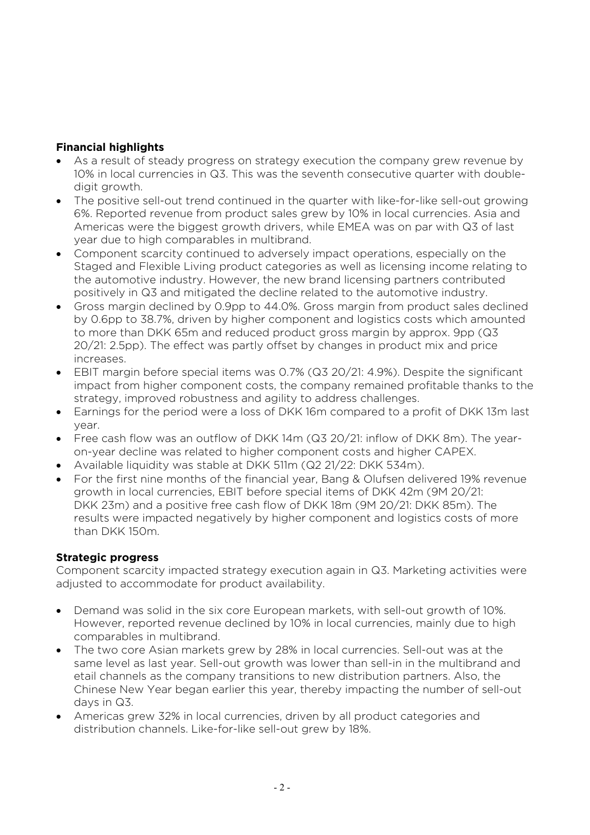## **Financial highlights**

- As a result of steady progress on strategy execution the company grew revenue by 10% in local currencies in Q3. This was the seventh consecutive quarter with doubledigit growth.
- The positive sell-out trend continued in the quarter with like-for-like sell-out growing 6%. Reported revenue from product sales grew by 10% in local currencies. Asia and Americas were the biggest growth drivers, while EMEA was on par with Q3 of last year due to high comparables in multibrand.
- Component scarcity continued to adversely impact operations, especially on the Staged and Flexible Living product categories as well as licensing income relating to the automotive industry. However, the new brand licensing partners contributed positively in Q3 and mitigated the decline related to the automotive industry.
- Gross margin declined by 0.9pp to 44.0%. Gross margin from product sales declined by 0.6pp to 38.7%, driven by higher component and logistics costs which amounted to more than DKK 65m and reduced product gross margin by approx. 9pp (Q3 20/21: 2.5pp). The effect was partly offset by changes in product mix and price increases.
- EBIT margin before special items was 0.7% (Q3 20/21: 4.9%). Despite the significant impact from higher component costs, the company remained profitable thanks to the strategy, improved robustness and agility to address challenges.
- Earnings for the period were a loss of DKK 16m compared to a profit of DKK 13m last year.
- Free cash flow was an outflow of DKK 14m (Q3 20/21: inflow of DKK 8m). The yearon-year decline was related to higher component costs and higher CAPEX.
- Available liquidity was stable at DKK 511m (Q2 21/22: DKK 534m).
- For the first nine months of the financial year, Bang & Olufsen delivered 19% revenue growth in local currencies, EBIT before special items of DKK 42m (9M 20/21: DKK 23m) and a positive free cash flow of DKK 18m (9M 20/21: DKK 85m). The results were impacted negatively by higher component and logistics costs of more than DKK 150m.

### **Strategic progress**

Component scarcity impacted strategy execution again in Q3. Marketing activities were adjusted to accommodate for product availability.

- Demand was solid in the six core European markets, with sell-out growth of 10%. However, reported revenue declined by 10% in local currencies, mainly due to high comparables in multibrand.
- The two core Asian markets grew by 28% in local currencies. Sell-out was at the same level as last year. Sell-out growth was lower than sell-in in the multibrand and etail channels as the company transitions to new distribution partners. Also, the Chinese New Year began earlier this year, thereby impacting the number of sell-out days in Q3.
- Americas grew 32% in local currencies, driven by all product categories and distribution channels. Like-for-like sell-out grew by 18%.